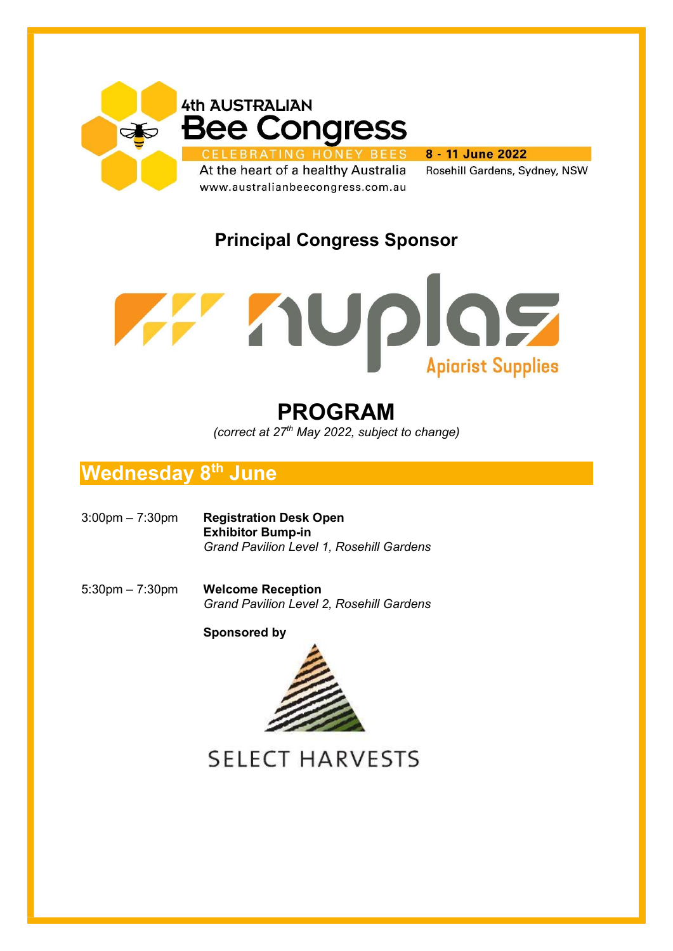



# PROGRAM

(correct at  $27<sup>th</sup>$  May 2022, subject to change)

# **Wednesday 8<sup>th</sup> June**

- 3:00pm 7:30pm Registration Desk Open Exhibitor Bump-in Grand Pavilion Level 1, Rosehill Gardens
- 5:30pm 7:30pm Welcome Reception Grand Pavilion Level 2, Rosehill Gardens

Sponsored by



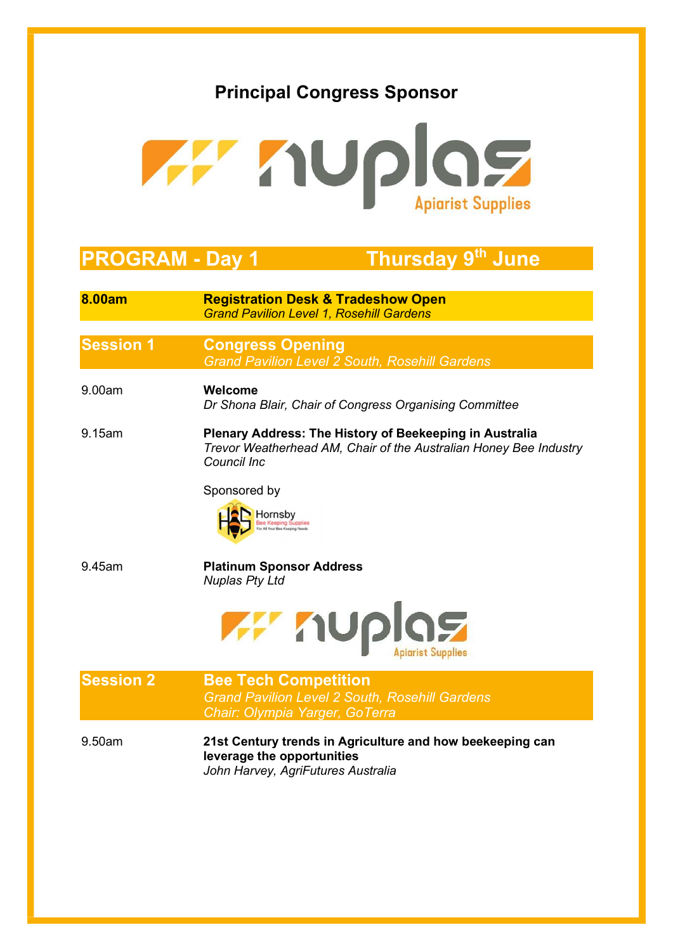

# PROGRAM - Day 1 Thursday 9<sup>th</sup> June

| 8.00am           | <b>Registration Desk &amp; Tradeshow Open</b><br><b>Grand Pavilion Level 1, Rosehill Gardens</b>                                            |
|------------------|---------------------------------------------------------------------------------------------------------------------------------------------|
| <b>Session 1</b> | <b>Congress Opening</b><br><b>Grand Pavilion Level 2 South, Rosehill Gardens</b>                                                            |
| 9.00am           | Welcome<br>Dr Shona Blair, Chair of Congress Organising Committee                                                                           |
| 9.15am           | Plenary Address: The History of Beekeeping in Australia<br>Trevor Weatherhead AM, Chair of the Australian Honey Bee Industry<br>Council Inc |
|                  | Sponsored by<br>Hornsby<br>Bee Keeping Supplies                                                                                             |
| 9.45am           | <b>Platinum Sponsor Address</b><br><b>Nuplas Pty Ltd</b>                                                                                    |
|                  | <b>THE TIUP</b>                                                                                                                             |
| <b>Session 2</b> | <b>Bee Tech Competition</b><br><b>Grand Pavilion Level 2 South, Rosehill Gardens</b><br>Chair: Olympia Yarger, GoTerra                      |
| 9.50am           | 21st Century trends in Agriculture and how beekeeping can<br>leverage the opportunities<br>John Harvey, AgriFutures Australia               |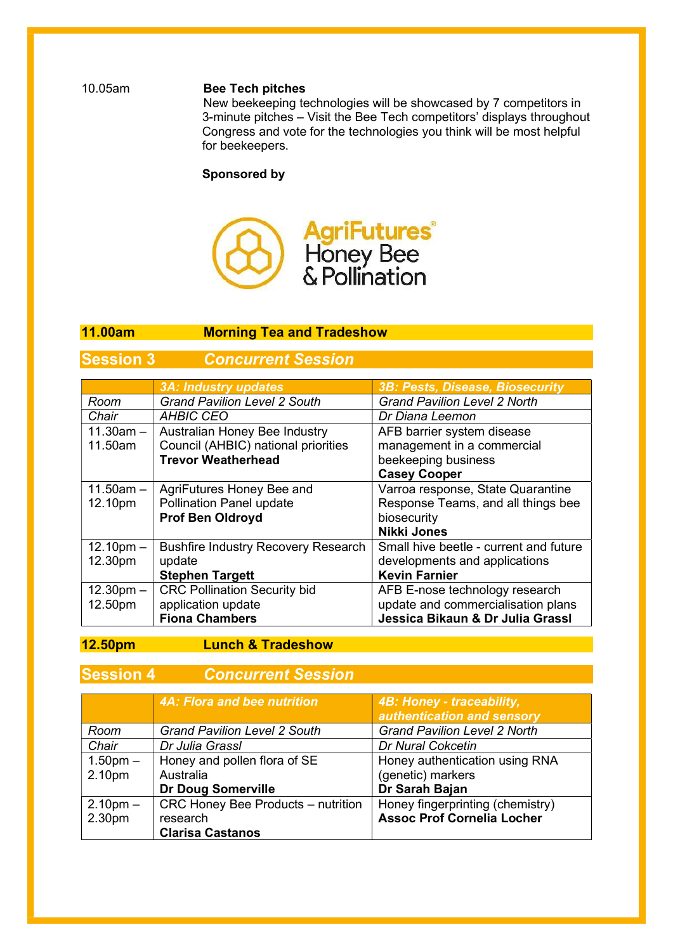#### 10.05am Bee Tech pitches

New beekeeping technologies will be showcased by 7 competitors in 3-minute pitches – Visit the Bee Tech competitors' displays throughout Congress and vote for the technologies you think will be most helpful for beekeepers.

#### Sponsored by



#### l. 11.00am Morning Tea and Tradeshow

## **Session 3** Concurrent Session

|                     | <b>3A: Industry updates</b>                | 3B: Pests, Disease, Biosecurity        |
|---------------------|--------------------------------------------|----------------------------------------|
| Room                | <b>Grand Pavilion Level 2 South</b>        | <b>Grand Pavilion Level 2 North</b>    |
| Chair               | <b>AHBIC CEO</b>                           | Dr Diana Leemon                        |
| $11.30am -$         | Australian Honey Bee Industry              | AFB barrier system disease             |
| 11.50am             | Council (AHBIC) national priorities        | management in a commercial             |
|                     | <b>Trevor Weatherhead</b>                  | beekeeping business                    |
|                     |                                            | <b>Casey Cooper</b>                    |
| $11.50am -$         | AgriFutures Honey Bee and                  | Varroa response, State Quarantine      |
| 12.10pm             | <b>Pollination Panel update</b>            | Response Teams, and all things bee     |
|                     | <b>Prof Ben Oldroyd</b>                    | biosecurity                            |
|                     |                                            | <b>Nikki Jones</b>                     |
| $12.10pm -$         | <b>Bushfire Industry Recovery Research</b> | Small hive beetle - current and future |
| 12.30pm             | update                                     | developments and applications          |
|                     | <b>Stephen Targett</b>                     | <b>Kevin Farnier</b>                   |
| $12.30 \text{pm} -$ | <b>CRC Pollination Security bid</b>        | AFB E-nose technology research         |
| 12.50pm             | application update                         | update and commercialisation plans     |
|                     | <b>Fiona Chambers</b>                      | Jessica Bikaun & Dr Julia Grassl       |

12.50pm Lunch & Tradeshow

#### **Session 4 Concurrent Session**

|                    | 4A: Flora and bee nutrition               | 4B: Honey - traceability,           |
|--------------------|-------------------------------------------|-------------------------------------|
|                    |                                           | authentication and sensory          |
| Room               | <b>Grand Pavilion Level 2 South</b>       | <b>Grand Pavilion Level 2 North</b> |
| Chair              | Dr Julia Grassl                           | <b>Dr Nural Cokcetin</b>            |
| $1.50pm -$         | Honey and pollen flora of SE              | Honey authentication using RNA      |
| 2.10pm             | Australia                                 | (genetic) markers                   |
|                    | <b>Dr Doug Somerville</b>                 | Dr Sarah Bajan                      |
| $2.10pm -$         | <b>CRC Honey Bee Products - nutrition</b> | Honey fingerprinting (chemistry)    |
| 2.30 <sub>pm</sub> | research                                  | <b>Assoc Prof Cornelia Locher</b>   |
|                    | <b>Clarisa Castanos</b>                   |                                     |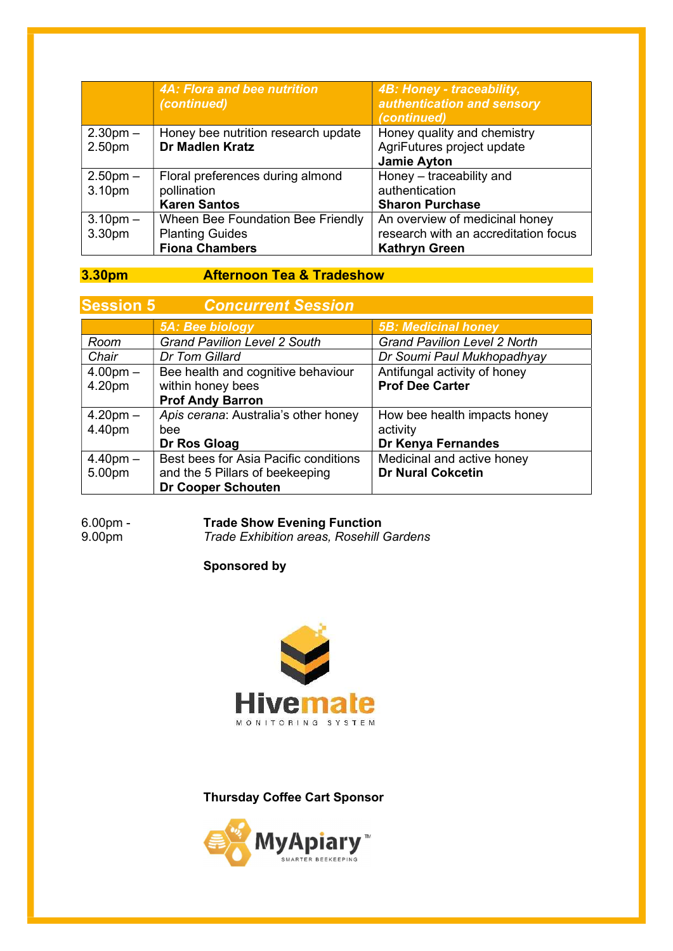|            | 4A: Flora and bee nutrition<br>(continued)                    | 4B: Honey - traceability,<br>authentication and sensory<br>(continued) |
|------------|---------------------------------------------------------------|------------------------------------------------------------------------|
| $2.30pm -$ | Honey bee nutrition research update<br><b>Dr Madlen Kratz</b> | Honey quality and chemistry<br>AgriFutures project update              |
| 2.50pm     |                                                               | <b>Jamie Ayton</b>                                                     |
| $2.50pm -$ | Floral preferences during almond                              | Honey - traceability and                                               |
| 3.10pm     | pollination                                                   | authentication                                                         |
|            | <b>Karen Santos</b>                                           | <b>Sharon Purchase</b>                                                 |
| $3.10pm -$ | Wheen Bee Foundation Bee Friendly                             | An overview of medicinal honey                                         |
| 3.30pm     | <b>Planting Guides</b>                                        | research with an accreditation focus                                   |
|            | <b>Fiona Chambers</b>                                         | <b>Kathryn Green</b>                                                   |

## 3.30pm Afternoon Tea & Tradeshow

| <b>Session 5</b> | <b>Concurrent Session</b>             |                                     |
|------------------|---------------------------------------|-------------------------------------|
|                  | 5A: Bee biology                       | <b>5B: Medicinal honey</b>          |
| Room             | <b>Grand Pavilion Level 2 South</b>   | <b>Grand Pavilion Level 2 North</b> |
| Chair            | Dr Tom Gillard                        | Dr Soumi Paul Mukhopadhyay          |
| $4.00pm -$       | Bee health and cognitive behaviour    | Antifungal activity of honey        |
| 4.20pm           | within honey bees                     | <b>Prof Dee Carter</b>              |
|                  | <b>Prof Andy Barron</b>               |                                     |
| $4.20pm -$       | Apis cerana: Australia's other honey  | How bee health impacts honey        |
| 4.40pm           | bee                                   | activity                            |
|                  | Dr Ros Gloag                          | Dr Kenya Fernandes                  |
| $4.40$ pm $-$    | Best bees for Asia Pacific conditions | Medicinal and active honey          |
| 5.00pm           | and the 5 Pillars of beekeeping       | <b>Dr Nural Cokcetin</b>            |
|                  | <b>Dr Cooper Schouten</b>             |                                     |

# 6.00pm - Trade Show Evening Function<br>9.00pm - Trade Exhibition areas, Rosehill (

Trade Exhibition areas, Rosehill Gardens

#### Sponsored by



#### Thursday Coffee Cart Sponsor

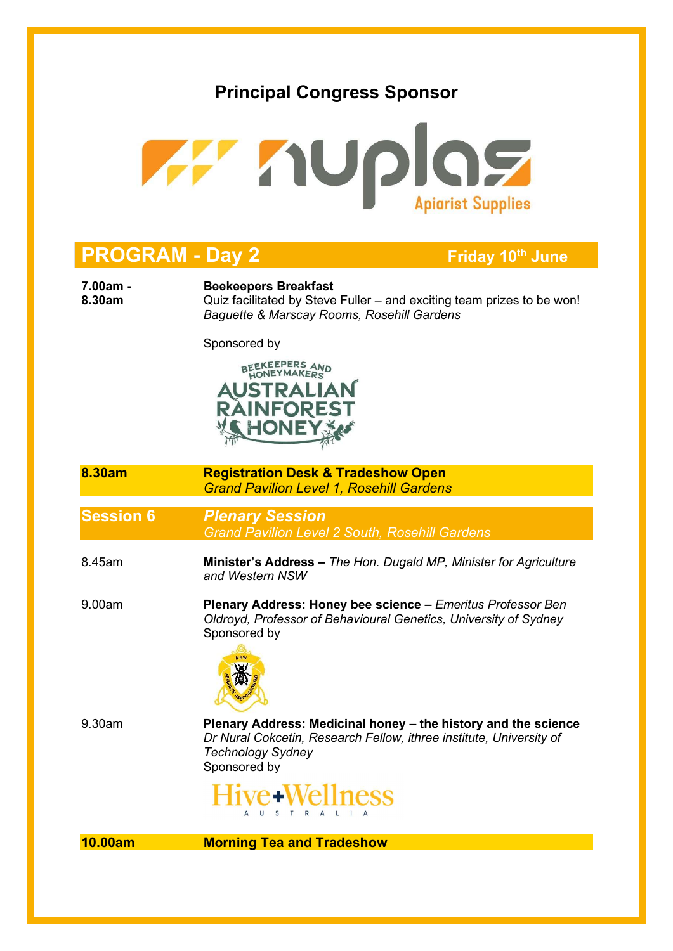

# **PROGRAM - Day 2** Friday 10<sup>th</sup> June

7.00am - Beekeepers Breakfast

8.30am **Quiz facilitated by Steve Fuller** – and exciting team prizes to be won! Baguette & Marscay Rooms, Rosehill Gardens

Sponsored by



- 8.30am Registration Desk & Tradeshow Open Grand Pavilion Level 1, Rosehill Gardens
- Session 6 Plenary Session Grand Pavilion Level 2 South, Rosehill Gardens
- 8.45am Minister's Address The Hon. Dugald MP, Minister for Agriculture and Western NSW
- 9.00am Plenary Address: Honey bee science Emeritus Professor Ben Oldroyd, Professor of Behavioural Genetics, University of Sydney Sponsored by



9.30am Plenary Address: Medicinal honey – the history and the science Dr Nural Cokcetin, Research Fellow, ithree institute, University of Technology Sydney Sponsored by



10.00am Morning Tea and Tradeshow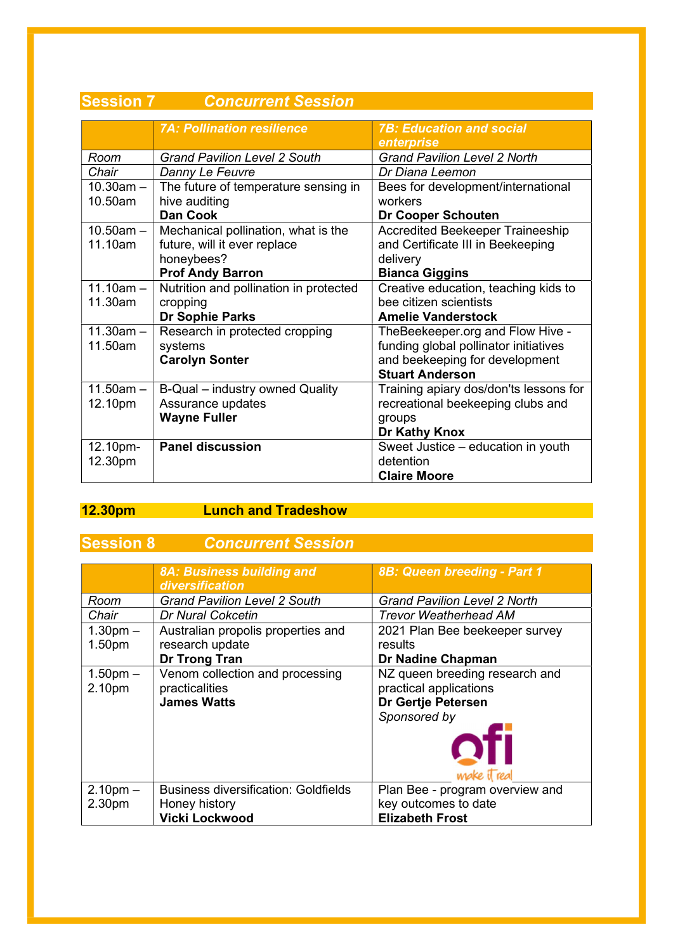| ו ווטוכּסט     | ווטונכסט וווס וושטווטט                 |                                         |
|----------------|----------------------------------------|-----------------------------------------|
|                |                                        |                                         |
|                | <b>7A: Pollination resilience</b>      | <b>7B: Education and social</b>         |
|                |                                        | enterprise                              |
| Room           | <b>Grand Pavilion Level 2 South</b>    | <b>Grand Pavilion Level 2 North</b>     |
| Chair          | Danny Le Feuvre                        | Dr Diana Leemon                         |
| $10.30$ am $-$ | The future of temperature sensing in   | Bees for development/international      |
| 10.50am        | hive auditing                          | workers                                 |
|                | <b>Dan Cook</b>                        | <b>Dr Cooper Schouten</b>               |
| $10.50$ am $-$ | Mechanical pollination, what is the    | <b>Accredited Beekeeper Traineeship</b> |
| 11.10am        | future, will it ever replace           | and Certificate III in Beekeeping       |
|                | honeybees?                             | delivery                                |
|                | <b>Prof Andy Barron</b>                | <b>Bianca Giggins</b>                   |
| $11.10am -$    | Nutrition and pollination in protected | Creative education, teaching kids to    |
| 11.30am        | cropping                               | bee citizen scientists                  |
|                | Dr Sophie Parks                        | <b>Amelie Vanderstock</b>               |
| $11.30am -$    | Research in protected cropping         | TheBeekeeper.org and Flow Hive -        |
| 11.50am        | systems                                | funding global pollinator initiatives   |
|                | <b>Carolyn Sonter</b>                  | and beekeeping for development          |
|                |                                        | <b>Stuart Anderson</b>                  |
| $11.50am -$    | B-Qual - industry owned Quality        | Training apiary dos/don'ts lessons for  |
| 12.10pm        | Assurance updates                      | recreational beekeeping clubs and       |
|                | <b>Wayne Fuller</b>                    | groups                                  |
|                |                                        | Dr Kathy Knox                           |
| 12.10pm-       | <b>Panel discussion</b>                | Sweet Justice - education in youth      |
| 12.30pm        |                                        | detention                               |
|                |                                        | <b>Claire Moore</b>                     |
|                |                                        |                                         |

# Session 7 Concurrent Session

# 12.30pm Lunch and Tradeshow **Communist Extending Lunch Communist Extending Lunch**

# **Session 8 Concurrent Session**

|                    | 8A: Business building and<br>diversification | 8B: Queen breeding - Part 1         |
|--------------------|----------------------------------------------|-------------------------------------|
| Room               | <b>Grand Pavilion Level 2 South</b>          | <b>Grand Pavilion Level 2 North</b> |
| Chair              | <b>Dr Nural Cokcetin</b>                     | <b>Trevor Weatherhead AM</b>        |
| $1.30pm -$         | Australian propolis properties and           | 2021 Plan Bee beekeeper survey      |
| 1.50pm             | research update                              | results                             |
|                    | <b>Dr Trong Tran</b>                         | Dr Nadine Chapman                   |
| $1.50pm -$         | Venom collection and processing              | NZ queen breeding research and      |
| 2.10pm             | practicalities                               | practical applications              |
|                    | <b>James Watts</b>                           | Dr Gertje Petersen                  |
|                    |                                              | Sponsored by                        |
|                    |                                              |                                     |
|                    |                                              | <i>wake</i> il rea                  |
| $2.10pm -$         | <b>Business diversification: Goldfields</b>  | Plan Bee - program overview and     |
| 2.30 <sub>pm</sub> | Honey history                                | key outcomes to date                |
|                    | <b>Vicki Lockwood</b>                        | <b>Elizabeth Frost</b>              |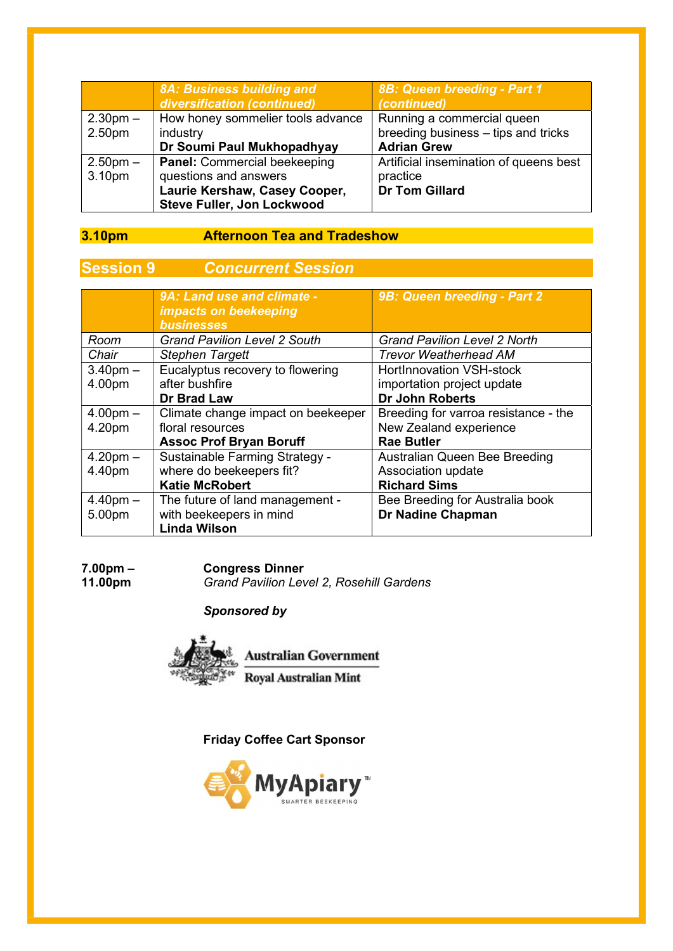|                                  | 8A: Business building and<br>diversification (continued)                                                                    | 8B: Queen breeding - Part 1<br>(continued)                                              |
|----------------------------------|-----------------------------------------------------------------------------------------------------------------------------|-----------------------------------------------------------------------------------------|
| $2.30pm -$<br>2.50 <sub>pm</sub> | How honey sommelier tools advance<br>industry<br>Dr Soumi Paul Mukhopadhyay                                                 | Running a commercial queen<br>breeding business - tips and tricks<br><b>Adrian Grew</b> |
| $2.50pm -$<br>3.10pm             | <b>Panel: Commercial beekeeping</b><br>questions and answers<br>Laurie Kershaw, Casey Cooper,<br>Steve Fuller, Jon Lockwood | Artificial insemination of queens best<br>practice<br><b>Dr Tom Gillard</b>             |

## 3.10pm Afternoon Tea and Tradeshow

# **Session 9** Concurrent Session

|               | 9A: Land use and climate -<br>impacts on beekeeping<br><b>businesses</b> | 9B: Queen breeding - Part 2          |
|---------------|--------------------------------------------------------------------------|--------------------------------------|
| Room          | <b>Grand Pavilion Level 2 South</b>                                      | <b>Grand Pavilion Level 2 North</b>  |
| Chair         | <b>Stephen Targett</b>                                                   | <b>Trevor Weatherhead AM</b>         |
| $3.40$ pm $-$ | Eucalyptus recovery to flowering                                         | <b>HortInnovation VSH-stock</b>      |
| 4.00pm        | after bushfire                                                           | importation project update           |
|               | <b>Dr Brad Law</b>                                                       | Dr John Roberts                      |
| $4.00pm -$    | Climate change impact on beekeeper                                       | Breeding for varroa resistance - the |
| 4.20pm        | floral resources                                                         | New Zealand experience               |
|               | <b>Assoc Prof Bryan Boruff</b>                                           | <b>Rae Butler</b>                    |
| $4.20pm -$    | Sustainable Farming Strategy -                                           | Australian Queen Bee Breeding        |
| 4.40pm        | where do beekeepers fit?                                                 | Association update                   |
|               | <b>Katie McRobert</b>                                                    | <b>Richard Sims</b>                  |
| $4.40pm -$    | The future of land management -                                          | Bee Breeding for Australia book      |
| 5.00pm        | with beekeepers in mind                                                  | <b>Dr Nadine Chapman</b>             |
|               | <b>Linda Wilson</b>                                                      |                                      |

# 7.00pm – Congress Dinner<br>11.00pm – Grand Pavilion Lev

Grand Pavilion Level 2, Rosehill Gardens

#### Sponsored by



Friday Coffee Cart Sponsor

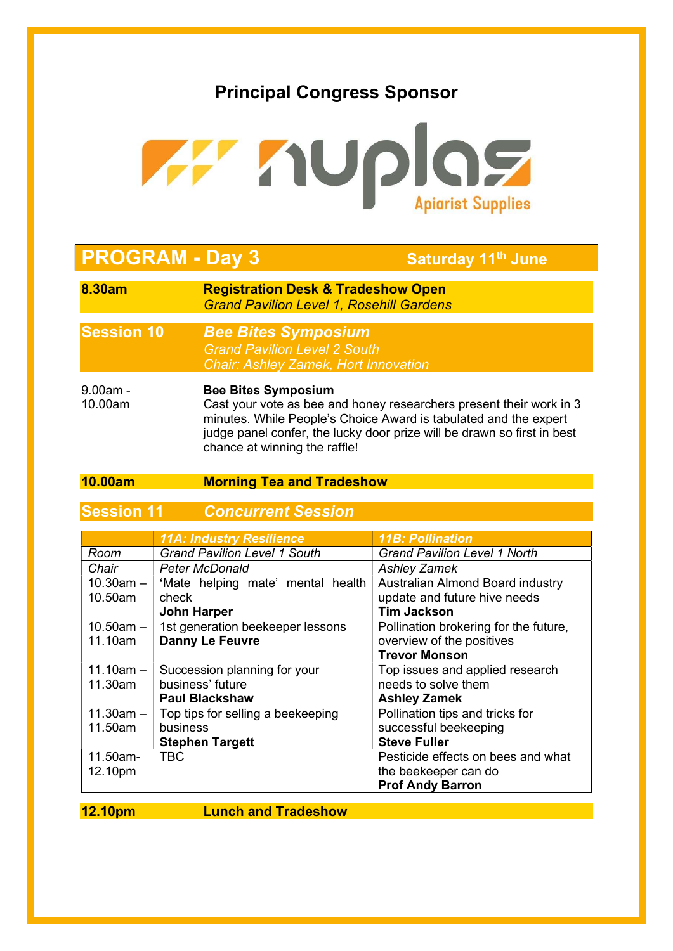

# **PROGRAM - Day 3** Saturday 11<sup>th</sup> June

ı

- 8.30am Registration Desk & Tradeshow Open Grand Pavilion Level 1, Rosehill Gardens
- Session 10 Bee Bites Symposium Grand Pavilion Level 2 South Chair: Ashley Zamek, Hort Innovation
- 9.00am Bee Bites Symposium 10.00am Cast your vote as bee and honey researchers present their work in 3 minutes. While People's Choice Award is tabulated and the expert judge panel confer, the lucky door prize will be drawn so first in best chance at winning the raffle!

#### 10.00am Morning Tea and Tradeshow

**Session 11 Concurrent Session** 

|                | <b>11A: Industry Resilience</b>     | <b>11B: Pollination</b>               |
|----------------|-------------------------------------|---------------------------------------|
| Room           | <b>Grand Pavilion Level 1 South</b> | <b>Grand Pavilion Level 1 North</b>   |
| Chair          | <b>Peter McDonald</b>               | <b>Ashley Zamek</b>                   |
| $10.30$ am $-$ | 'Mate helping mate' mental health   | Australian Almond Board industry      |
| 10.50am        | check                               | update and future hive needs          |
|                | <b>John Harper</b>                  | <b>Tim Jackson</b>                    |
| $10.50$ am $-$ | 1st generation beekeeper lessons    | Pollination brokering for the future, |
| 11.10am        | <b>Danny Le Feuvre</b>              | overview of the positives             |
|                |                                     | <b>Trevor Monson</b>                  |
| $11.10am -$    | Succession planning for your        | Top issues and applied research       |
| 11.30am        | business' future                    | needs to solve them                   |
|                | <b>Paul Blackshaw</b>               | <b>Ashley Zamek</b>                   |
| $11.30$ am $-$ | Top tips for selling a beekeeping   | Pollination tips and tricks for       |
| 11.50am        | business                            | successful beekeeping                 |
|                | <b>Stephen Targett</b>              | <b>Steve Fuller</b>                   |
| 11.50am-       | <b>TBC</b>                          | Pesticide effects on bees and what    |
| 12.10pm        |                                     | the beekeeper can do                  |
|                |                                     | <b>Prof Andy Barron</b>               |

12.10pm Lunch and Tradeshow